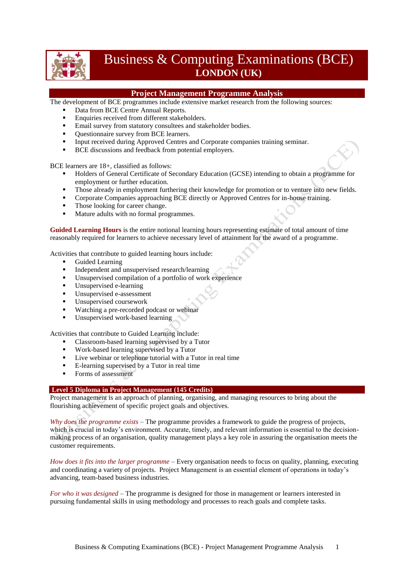

# Business & Computing Examinations (BCE) **LONDON (UK)**

# **Project Management Programme Analysis**

The development of BCE programmes include extensive market research from the following sources:

- Data from BCE Centre Annual Reports.
- Enquiries received from different stakeholders.
- **Email survey from statutory consultees and stakeholder bodies.**
- **•** Questionnaire survey from BCE learners.
- Input received during Approved Centres and Corporate companies training seminar.
- BCE discussions and feedback from potential employers.

BCE learners are 18+, classified as follows:

- Holders of General Certificate of Secondary Education (GCSE) intending to obtain a programme for employment or further education.
- Those already in employment furthering their knowledge for promotion or to venture into new fields.
- Corporate Companies approaching BCE directly or Approved Centres for in-house training.
- Those looking for career change.
- Mature adults with no formal programmes.

**Guided Learning Hours** is the entire notional learning hours representing estimate of total amount of time reasonably required for learners to achieve necessary level of attainment for the award of a programme.

Activities that contribute to guided learning hours include:

- Guided Learning
- Independent and unsupervised research/learning<br>Insupervised compilation of a portfolio of work
- Unsupervised compilation of a portfolio of work experience
- Unsupervised e-learning
- Unsupervised e-assessment
- Unsupervised coursework
- Watching a pre-recorded podcast or webinar
- Unsupervised work-based learning

Activities that contribute to Guided Learning include:

- Classroom-based learning supervised by a Tutor
- Work-based learning supervised by a Tutor
- **Live webinar or telephone tutorial with a Tutor in real time**
- E-learning supervised by a Tutor in real time
- Forms of assessment

# **Level 5 Diploma in Project Management (145 Credits)**

Project management is an approach of planning, organising, and managing resources to bring about the flourishing achievement of specific project goals and objectives.

*Why does the programme exists* – The programme provides a framework to guide the progress of projects, which is crucial in today's environment. Accurate, timely, and relevant information is essential to the decisionmaking process of an organisation, quality management plays a key role in assuring the organisation meets the customer requirements.

*How does it fits into the larger programme* – Every organisation needs to focus on quality, planning, executing and coordinating a variety of projects. Project Management is an essential element of operations in today's advancing, team-based business industries.

*For who it was designed* – The programme is designed for those in management or learners interested in pursuing fundamental skills in using methodology and processes to reach goals and complete tasks.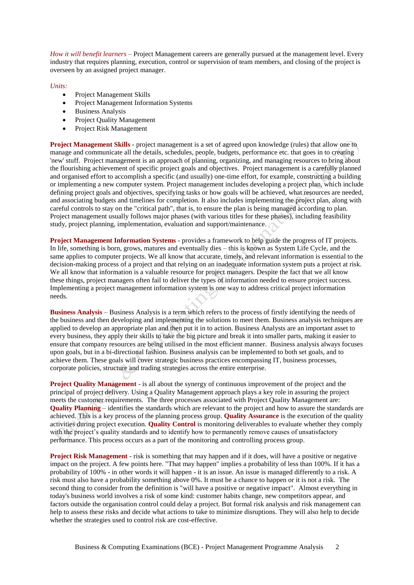*How it will benefit learners* – Project Management careers are generally pursued at the management level. Every industry that requires planning, execution, control or supervision of team members, and closing of the project is overseen by an assigned project manager.

### *Units:*

- Project Management Skills
- Project Management Information Systems
- Business Analysis
- Project Quality Management
- Project Risk Management

**Project Management Skills** - project management is a set of agreed upon knowledge (rules) that allow one to manage and communicate all the details, schedules, people, budgets, performance etc. that goes in to creating 'new' stuff. Project management is an approach of planning, organizing, and managing resources to bring about the flourishing achievement of specific project goals and objectives. Project management is a carefully planned and organised effort to accomplish a specific (and usually) one-time effort, for example, constructing a building or implementing a new computer system. Project management includes developing a project plan, which include defining project goals and objectives, specifying tasks or how goals will be achieved, what resources are needed, and associating budgets and timelines for completion. It also includes implementing the project plan, along with careful controls to stay on the "critical path", that is, to ensure the plan is being managed according to plan. Project management usually follows major phases (with various titles for these phases), including feasibility study, project planning, implementation, evaluation and support/maintenance.

**Project Management Information Systems** - provides a framework to help guide the progress of IT projects. In life, something is born, grows, matures and eventually dies – this is known as System Life Cycle, and the same applies to computer projects. We all know that accurate, timely, and relevant information is essential to the decision-making process of a project and that relying on an inadequate information system puts a project at risk. We all know that information is a valuable resource for project managers. Despite the fact that we all know these things, project managers often fail to deliver the types of information needed to ensure project success. Implementing a project management information system is one way to address critical project information needs.

**Business Analysis** – Business Analysis is a term which refers to the process of firstly identifying the needs of the business and then developing and implementing the solutions to meet them. Business analysis techniques are applied to develop an appropriate plan and then put it in to action. Business Analysts are an important asset to every business, they apply their skills to take the big picture and break it into smaller parts, making it easier to ensure that company resources are being utilised in the most efficient manner. Business analysis always focuses upon goals, but in a bi-directional fashion. Business analysis can be implemented to both set goals, and to achieve them. These goals will cover strategic business practices encompassing IT, business processes, corporate policies, structure and trading strategies across the entire enterprise.

**Project Quality Management** - is all about the synergy of continuous improvement of the project and the principal of project delivery. Using a Quality Management approach plays a key role in assuring the project meets the customer requirements. The three processes associated with Project Quality Management are: **Quality Planning** – identifies the standards which are relevant to the project and how to assure the standards are achieved. This is a key process of the planning process group. **Quality Assurance** is the execution of the quality activities during project execution. **Quality Control** is monitoring deliverables to evaluate whether they comply with the project's quality standards and to identify how to permanently remove causes of unsatisfactory performance. This process occurs as a part of the monitoring and controlling process group.

**Project Risk Management** - risk is something that may happen and if it does, will have a positive or negative impact on the project. A few points here. "That may happen" implies a probability of less than 100%. If it has a probability of 100% - in other words it will happen - it is an issue. An issue is managed differently to a risk. A risk must also have a probability something above 0%. It must be a chance to happen or it is not a risk. The second thing to consider from the definition is "will have a positive or negative impact". Almost everything in today's business world involves a risk of some kind: customer habits change, new competitors appear, and factors outside the organisation control could delay a project. But formal risk analysis and risk management can help to assess these risks and decide what actions to take to minimize disruptions. They will also help to decide whether the strategies used to control risk are cost-effective.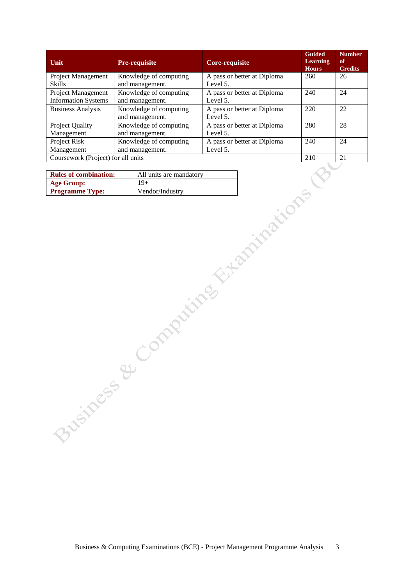| Unit                                             | <b>Pre-requisite</b>                      | Core-requisite                          | <b>Guided</b><br><b>Learning</b><br><b>Hours</b> | <b>Number</b><br>of<br><b>Credits</b> |
|--------------------------------------------------|-------------------------------------------|-----------------------------------------|--------------------------------------------------|---------------------------------------|
| Project Management<br><b>Skills</b>              | Knowledge of computing                    | A pass or better at Diploma             | 260                                              | 26                                    |
|                                                  | and management.                           | Level 5.                                |                                                  |                                       |
| Project Management<br><b>Information Systems</b> | Knowledge of computing<br>and management. | A pass or better at Diploma<br>Level 5. | 240                                              | 24                                    |
| <b>Business Analysis</b>                         | Knowledge of computing                    | A pass or better at Diploma             | 220                                              | 22                                    |
|                                                  | and management.                           | Level 5.                                |                                                  |                                       |
| Project Quality                                  | Knowledge of computing                    | A pass or better at Diploma             | 280                                              | 28                                    |
| Management                                       | and management.                           | Level 5.                                |                                                  |                                       |
| Project Risk                                     | Knowledge of computing                    | A pass or better at Diploma             | 240                                              | 24                                    |
| Management                                       | and management.                           | Level 5.                                |                                                  |                                       |
| Coursework (Project) for all units               |                                           |                                         | 210                                              | 21                                    |

| <b>Rules of combination:</b> | All units are mandatory |
|------------------------------|-------------------------|
| <b>Age Group:</b>            | $19+$                   |
| <b>Programme Type:</b>       | Vendor/Industry         |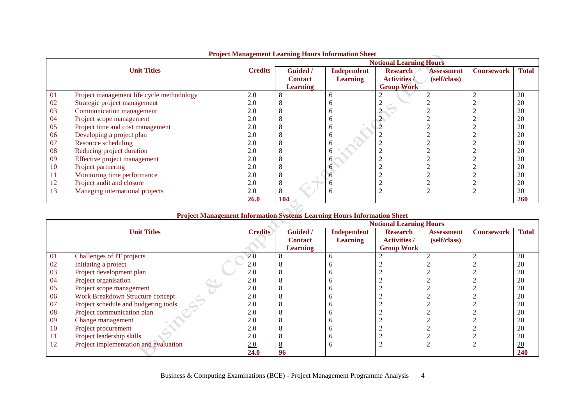|    |                                           |                | 110 ject namnigement Eluning 110010 11101 mutten once |                 | <b>Notional Learning Hours</b> |                   |                   |              |
|----|-------------------------------------------|----------------|-------------------------------------------------------|-----------------|--------------------------------|-------------------|-------------------|--------------|
|    | <b>Unit Titles</b>                        | <b>Credits</b> | Guided /                                              | Independent     | <b>Research</b>                | <b>Assessment</b> | <b>Coursework</b> | <b>Total</b> |
|    |                                           |                | <b>Contact</b>                                        | <b>Learning</b> | <b>Activities</b> /            | (self/class)      |                   |              |
|    |                                           |                | <b>Learning</b>                                       |                 | <b>Group Work</b>              |                   |                   |              |
| 01 | Project management life cycle methodology | 2.0            | Ō                                                     | <sub>0</sub>    |                                |                   |                   | 20           |
| 02 | Strategic project management              | 2.0            | O                                                     | n               |                                |                   |                   | 20           |
| 03 | Communication management                  | 2.0            | 8                                                     | n               |                                |                   |                   | 20           |
| 04 | Project scope management                  | 2.0            | 8                                                     | <sub>0</sub>    |                                |                   |                   | 20           |
| 05 | Project time and cost management          | 2.0            | 8                                                     | <sub>0</sub>    |                                |                   |                   | 20           |
| 06 | Developing a project plan                 | 2.0            | 8                                                     | <sub>0</sub>    |                                |                   |                   | 20           |
| 07 | Resource scheduling                       | 2.0            | 8                                                     |                 |                                |                   |                   | 20           |
| 08 | Reducing project duration                 | 2.0            | 8                                                     | h               |                                |                   |                   | 20           |
| 09 | Effective project management              | 2.0            | 8                                                     | h               |                                |                   |                   | 20           |
| 10 | Project partnering                        | 2.0            | 8                                                     |                 |                                |                   |                   | 20           |
| 11 | Monitoring time performance               | 2.0            | 8                                                     |                 |                                |                   |                   | 20           |
| 12 | Project audit and closure                 | 2.0            | 8                                                     |                 |                                |                   |                   | 20           |
| 13 | Managing international projects           | 2.0            | 8                                                     | n               |                                |                   |                   | 20           |
|    |                                           | 26.0           | 104                                                   |                 |                                |                   |                   | <b>260</b>   |

# **Project Management Learning Hours Information Sheet**

#### **Unit Titles Credits Notional Learning Hours Guided / Contact Learning Independent Learning Research Activities / Group Work Assessment (self/class) Coursework Total** Challenges of IT projects Initiating a project Project development plan 04 Project organisation<br>05 Project scope manag Project scope management Work Breakdown Structure concept Project schedule and budgeting tools 08 Project communication plan<br>09 Change management Change management 10 Project procurement<br>11 Project leadership sk Project leadership skills Project implementation and evaluation 2.0 2.0 2.0 2.0 2.0 2.0 2.0 2.0 2.0 2.0 2.0 2.0 **24.0**

# **Project Management Information Systems Learning Hours Information Sheet**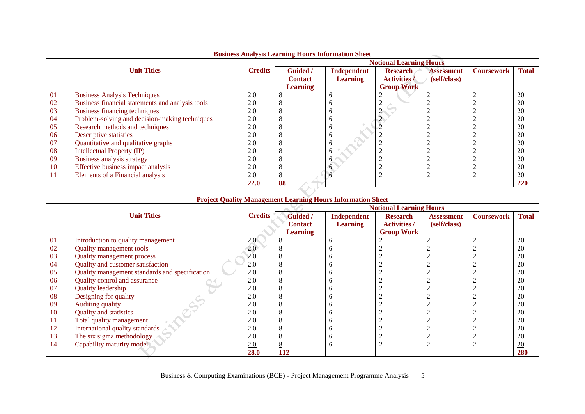|    |                                                  |                | <b>Dashitsu Tenaryuru Elean ming Eleanu embe matron Direct</b> | <b>Notional Learning Hours</b> |                     |                   |                   |                  |  |  |
|----|--------------------------------------------------|----------------|----------------------------------------------------------------|--------------------------------|---------------------|-------------------|-------------------|------------------|--|--|
|    | <b>Unit Titles</b>                               | <b>Credits</b> | <b>Guided</b> /                                                | Independent                    | <b>Research</b>     | <b>Assessment</b> | <b>Coursework</b> | <b>Total</b>     |  |  |
|    |                                                  |                | <b>Contact</b>                                                 | <b>Learning</b>                | <b>Activities /</b> | (self/class)      |                   |                  |  |  |
|    |                                                  |                | <b>Learning</b>                                                |                                | <b>Group Work</b>   |                   |                   |                  |  |  |
| 01 | <b>Business Analysis Techniques</b>              | 2.0            |                                                                |                                |                     |                   |                   | 20               |  |  |
| 02 | Business financial statements and analysis tools | 2.0            |                                                                |                                |                     |                   |                   | 20               |  |  |
| 03 | Business financing techniques                    | 2.0            |                                                                |                                |                     |                   |                   | 20               |  |  |
| 04 | Problem-solving and decision-making techniques   | 2.0            |                                                                | n                              |                     |                   |                   | 20               |  |  |
| 05 | Research methods and techniques                  | 2.0            |                                                                |                                |                     |                   |                   | 20               |  |  |
| 06 | Descriptive statistics                           | 2.0            |                                                                | n                              |                     |                   |                   | 20               |  |  |
| 07 | Quantitative and qualitative graphs              | 2.0            |                                                                |                                |                     |                   |                   | 20               |  |  |
| 08 | <b>Intellectual Property (IP)</b>                | 2.0            |                                                                | n                              |                     |                   |                   | 20               |  |  |
| 09 | Business analysis strategy                       | 2.0            |                                                                | <sub>0</sub>                   |                     |                   |                   | 20               |  |  |
| 10 | Effective business impact analysis               | 2.0            |                                                                |                                |                     |                   |                   | 20               |  |  |
| 11 | Elements of a Financial analysis                 | 2.0            |                                                                |                                |                     |                   |                   | $\underline{20}$ |  |  |
|    |                                                  | <b>22.0</b>    | 88                                                             |                                |                     |                   |                   | 220              |  |  |

# **Business Analysis Learning Hours Information Sheet**

# **Project Quality Management Learning Hours Information Sheet**

|    |                                                |                |                 |                 | <b>Notional Learning Hours</b> |                   |                   |              |
|----|------------------------------------------------|----------------|-----------------|-----------------|--------------------------------|-------------------|-------------------|--------------|
|    | <b>Unit Titles</b>                             | <b>Credits</b> | <b>Guided</b> / | Independent     | <b>Research</b>                | <b>Assessment</b> | <b>Coursework</b> | <b>Total</b> |
|    |                                                |                | <b>Contact</b>  | <b>Learning</b> | <b>Activities /</b>            | (self/class)      |                   |              |
|    |                                                |                | <b>Learning</b> |                 | <b>Group Work</b>              |                   |                   |              |
| 01 | Introduction to quality management             | 2.0            |                 | <sub>0</sub>    |                                |                   |                   | 20           |
| 02 | <b>Quality management tools</b>                | 2.0            |                 |                 |                                |                   |                   | 20           |
| 03 | <b>Quality management process</b>              | 2.0            |                 |                 |                                |                   |                   | 20           |
| 04 | Quality and customer satisfaction              | 2.0            |                 |                 |                                |                   |                   | 20           |
| 05 | Quality management standards and specification | 2.0            |                 |                 |                                |                   |                   | 20           |
| 06 | Quality control and assurance                  | 2.0            |                 |                 |                                |                   |                   | 20           |
| 07 | <b>Quality leadership</b>                      | 2.0            |                 |                 |                                |                   |                   | 20           |
| 08 | Designing for quality                          | 2.0            |                 |                 |                                |                   |                   | 20           |
| 09 | Auditing quality                               | 2.0            |                 |                 |                                |                   |                   | 20           |
| 10 | <b>Quality and statistics</b>                  | 2.0            |                 |                 |                                |                   |                   | 20           |
| 11 | Total quality management                       | 2.0            |                 |                 |                                |                   |                   | 20           |
| 12 | International quality standards                | 2.0            |                 |                 |                                |                   |                   | 20           |
| 13 | The six sigma methodology                      | 2.0            |                 | n               |                                |                   |                   | 20           |
| 14 | Capability maturity model                      | 2.0            |                 | h               |                                |                   |                   | 20           |
|    |                                                | 28.0           | 112             |                 |                                |                   |                   | 280          |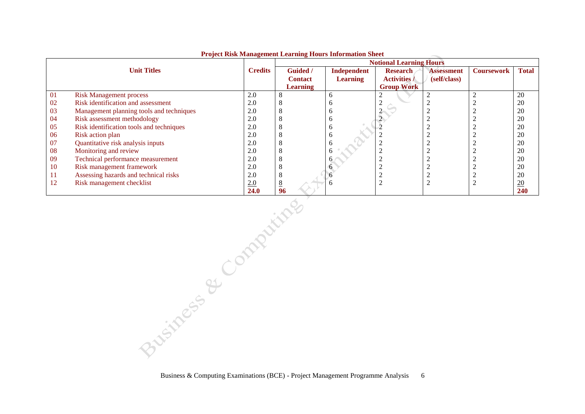|    |                                          |                | <b>Notional Learning Hours</b> |                 |                     |                   |                   |                  |
|----|------------------------------------------|----------------|--------------------------------|-----------------|---------------------|-------------------|-------------------|------------------|
|    | <b>Unit Titles</b>                       | <b>Credits</b> | <b>Guided</b> /                | Independent     | <b>Research</b>     | <b>Assessment</b> | <b>Coursework</b> | <b>Total</b>     |
|    |                                          |                | <b>Contact</b>                 | <b>Learning</b> | <b>Activities</b> / | (self/class)      |                   |                  |
|    |                                          |                | <b>Learning</b>                |                 | <b>Group Work</b>   |                   |                   |                  |
| 01 | <b>Risk Management process</b>           | 2.0            | 8                              |                 |                     |                   |                   | 20               |
| 02 | Risk identification and assessment       | 2.0            | C                              |                 |                     |                   |                   | 20               |
| 03 | Management planning tools and techniques | 2.0            | Õ                              |                 |                     |                   |                   | 20               |
| 04 | Risk assessment methodology              | 2.0            | $\Omega$                       |                 |                     |                   |                   | 20               |
| 05 | Risk identification tools and techniques | 2.0            | 8                              |                 |                     |                   |                   | 20               |
| 06 | Risk action plan                         | 2.0            | ◠                              |                 |                     |                   |                   | 20               |
| 07 | Quantitative risk analysis inputs        | 2.0            | Õ                              |                 |                     |                   |                   | 20               |
| 08 | Monitoring and review                    | 2.0            | ◠                              |                 |                     |                   |                   | 20               |
| 09 | Technical performance measurement        | 2.0            | ×                              |                 |                     |                   |                   | 20               |
| 10 | Risk management framework                | 2.0            | - 8                            |                 |                     |                   |                   | 20               |
| 11 | Assessing hazards and technical risks    | 2.0            | 8                              |                 |                     |                   |                   | 20               |
| 12 | Risk management checklist                | 2.0            | 8                              |                 | ി                   |                   |                   | $\underline{20}$ |
|    |                                          | 24.0           | 96                             |                 |                     |                   |                   | <b>240</b>       |

#### **Project Risk Management Learning Hours Information Sheet**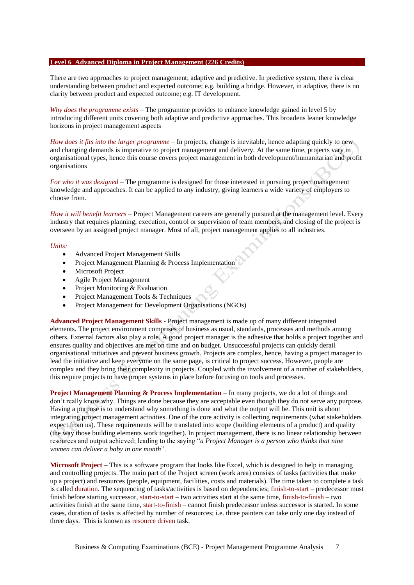#### **Level 6 Advanced Diploma in Project Management (226 Credits)**

There are two approaches to project management; adaptive and predictive. In predictive system, there is clear understanding between product and expected outcome; e.g. building a bridge. However, in adaptive, there is no clarity between product and expected outcome; e.g. IT development.

*Why does the programme exists* – The programme provides to enhance knowledge gained in level 5 by introducing different units covering both adaptive and predictive approaches. This broadens leaner knowledge horizons in project management aspects

*How does it fits into the larger programme* – In projects, change is inevitable, hence adapting quickly to new and changing demands is imperative to project management and delivery. At the same time, projects vary in organisational types, hence this course covers project management in both development/humanitarian and profit organisations

*For who it was designed* – The programme is designed for those interested in pursuing project management knowledge and approaches. It can be applied to any industry, giving learners a wide variety of employers to choose from.

*How it will benefit learners* – Project Management careers are generally pursued at the management level. Every industry that requires planning, execution, control or supervision of team members, and closing of the project is overseen by an assigned project manager. Most of all, project management applies to all industries.

#### *Units:*

- Advanced Project Management Skills
- Project Management Planning & Process Implementation
- Microsoft Project
- Agile Project Management
- Project Monitoring & Evaluation
- Project Management Tools & Techniques
- Project Management for Development Organisations (NGOs)

**Advanced Project Management Skills** - Project management is made up of many different integrated elements. The project environment comprises of business as usual, standards, processes and methods among others. External factors also play a role. A good project manager is the adhesive that holds a project together and ensures quality and objectives are met on time and on budget. Unsuccessful projects can quickly derail organisational initiatives and prevent business growth. Projects are complex, hence, having a project manager to lead the initiative and keep everyone on the same page, is critical to project success. However, people are complex and they bring their complexity in projects. Coupled with the involvement of a number of stakeholders, this require projects to have proper systems in place before focusing on tools and processes.

**Project Management Planning & Process Implementation** – In many projects, we do a lot of things and don't really know why. Things are done because they are acceptable even though they do not serve any purpose. Having a purpose is to understand why something is done and what the output will be. This unit is about integrating project management activities. One of the core activity is collecting requirements (what stakeholders expect from us). These requirements will be translated into scope (building elements of a product) and quality (the way those building elements work together). In project management, there is no linear relationship between resources and output achieved; leading to the saying "*a Project Manager is a person who thinks that nine women can deliver a baby in one month*".

**Microsoft Project** – This is a software program that looks like Excel, which is designed to help in managing and controlling projects. The main part of the Project screen (work area) consists of tasks (activities that make up a project) and resources (people, equipment, facilities, costs and materials). The time taken to complete a task is called duration. The sequencing of tasks/activities is based on dependencies; finish-to-start – predecessor must finish before starting successor, start-to-start – two activities start at the same time, finish-to-finish – two activities finish at the same time, start-to-finish – cannot finish predecessor unless successor is started. In some cases, duration of tasks is affected by number of resources; i.e. three painters can take only one day instead of three days. This is known as resource driven task.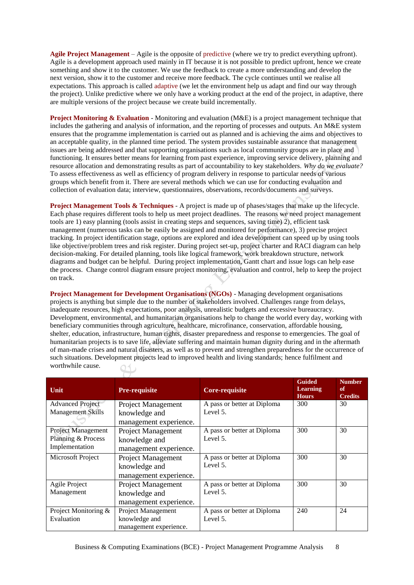**Agile Project Management** – Agile is the opposite of predictive (where we try to predict everything upfront). Agile is a development approach used mainly in IT because it is not possible to predict upfront, hence we create something and show it to the customer. We use the feedback to create a more understanding and develop the next version, show it to the customer and receive more feedback. The cycle continues until we realise all expectations. This approach is called adaptive (we let the environment help us adapt and find our way through the project). Unlike predictive where we only have a working product at the end of the project, in adaptive, there are multiple versions of the project because we create build incrementally.

**Project Monitoring & Evaluation** - Monitoring and evaluation (M&E) is a project management technique that includes the gathering and analysis of information, and the reporting of processes and outputs. An M&E system ensures that the programme implementation is carried out as planned and is achieving the aims and objectives to an acceptable quality, in the planned time period. The system provides sustainable assurance that management issues are being addressed and that supporting organisations such as local community groups are in place and functioning. It ensures better means for learning from past experience, improving service delivery, planning and resource allocation and demonstrating results as part of accountability to key stakeholders. *Why do we evaluate?* To assess effectiveness as well as efficiency of program delivery in response to particular needs of various groups which benefit from it. There are several methods which we can use for conducting evaluation and collection of evaluation data; interview, questionnaires, observations, records/documents and surveys.

**Project Management Tools & Techniques** - A project is made up of phases/stages that make up the lifecycle. Each phase requires different tools to help us meet project deadlines. The reasons we need project management tools are 1) easy planning (tools assist in creating steps and sequences, saving time) 2), efficient task management (numerous tasks can be easily be assigned and monitored for performance), 3) precise project tracking. In project identification stage, options are explored and idea development can speed up by using tools like objective/problem trees and risk register. During project set-up, project charter and RACI diagram can help decision-making. For detailed planning, tools like logical framework, work breakdown structure, network diagrams and budget can be helpful. During project implementation, Gantt chart and issue logs can help ease the process. Change control diagram ensure project monitoring, evaluation and control, help to keep the project on track.

**Project Management for Development Organisations (NGOs)** - Managing development organisations projects is anything but simple due to the number of stakeholders involved. Challenges range from delays, inadequate resources, high expectations, poor analysis, unrealistic budgets and excessive bureaucracy. Development, environmental, and humanitarian organisations help to change the world every day, working with beneficiary communities through agriculture, healthcare, microfinance, conservation, affordable housing, shelter, education, infrastructure, human rights, disaster preparedness and response to emergencies. The goal of humanitarian projects is to save life, alleviate suffering and maintain human dignity during and in the aftermath of man-made crises and natural disasters, as well as to prevent and strengthen preparedness for the occurrence of such situations. Development projects lead to improved health and living standards; hence fulfilment and worthwhile cause.

| Unit                                                              | <b>Pre-requisite</b>                                                 | <b>Core-requisite</b>                   | <b>Guided</b><br><b>Learning</b><br><b>Hours</b> | <b>Number</b><br>of<br><b>Credits</b> |
|-------------------------------------------------------------------|----------------------------------------------------------------------|-----------------------------------------|--------------------------------------------------|---------------------------------------|
| <b>Advanced Project</b><br><b>Management Skills</b>               | <b>Project Management</b><br>knowledge and<br>management experience. | A pass or better at Diploma<br>Level 5. | 300                                              | 30                                    |
| <b>Project Management</b><br>Planning & Process<br>Implementation | <b>Project Management</b><br>knowledge and<br>management experience. | A pass or better at Diploma<br>Level 5. | 300                                              | 30                                    |
| Microsoft Project                                                 | <b>Project Management</b><br>knowledge and<br>management experience. | A pass or better at Diploma<br>Level 5. | 300                                              | 30                                    |
| Agile Project<br>Management                                       | <b>Project Management</b><br>knowledge and<br>management experience. | A pass or better at Diploma<br>Level 5. | 300                                              | 30                                    |
| Project Monitoring &<br>Evaluation                                | Project Management<br>knowledge and<br>management experience.        | A pass or better at Diploma<br>Level 5. | 240                                              | 24                                    |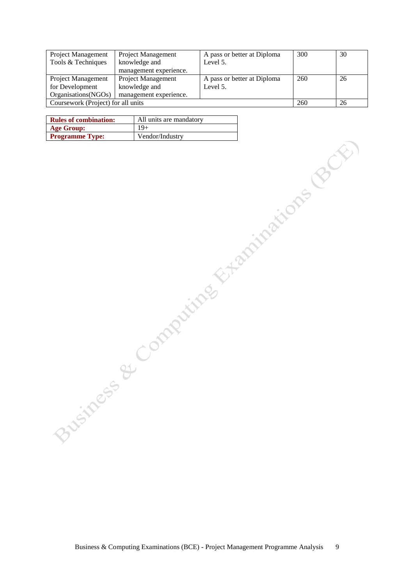| <b>Project Management</b>          | Project Management     | A pass or better at Diploma | 300 | 30 |
|------------------------------------|------------------------|-----------------------------|-----|----|
| Tools & Techniques                 | knowledge and          | Level 5.                    |     |    |
|                                    | management experience. |                             |     |    |
| Project Management                 | Project Management     | A pass or better at Diploma | 260 | 26 |
| for Development                    | knowledge and          | Level 5.                    |     |    |
| Organisations (NGOs)               | management experience. |                             |     |    |
| Coursework (Project) for all units |                        | 260                         | 26  |    |

| <b>Rules of combination:</b> | All units are mandatory |
|------------------------------|-------------------------|
| Age Group:                   | 19+                     |
| <b>Programme Type:</b>       | Vendor/Industry         |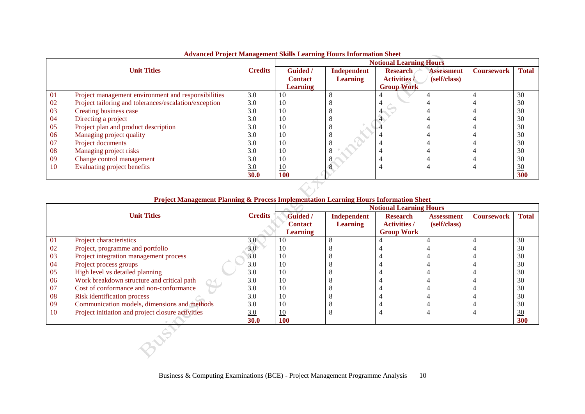|    |                                                       |                |                 |                 | <b>Notional Learning Hours</b> |                   |                   |              |
|----|-------------------------------------------------------|----------------|-----------------|-----------------|--------------------------------|-------------------|-------------------|--------------|
|    | <b>Unit Titles</b>                                    | <b>Credits</b> | <b>Guided</b> / | Independent     | <b>Research</b>                | <b>Assessment</b> | <b>Coursework</b> | <b>Total</b> |
|    |                                                       |                | <b>Contact</b>  | <b>Learning</b> | <b>Activities /</b>            | (self/class)      |                   |              |
|    |                                                       |                | <b>Learning</b> |                 | <b>Group Work</b>              |                   |                   |              |
| 01 | Project management environment and responsibilities   | 3.0            | 10              | $\Omega$<br>Ō   |                                |                   |                   | 30           |
| 02 | Project tailoring and tolerances/escalation/exception | 3.0            | 10              | ◠               |                                |                   |                   | 30           |
| 03 | Creating business case                                | 3.0            | 10              |                 |                                |                   |                   | 30           |
| 04 | Directing a project                                   | 3.0            | 10              | Ō               |                                |                   |                   | 30           |
| 05 | Project plan and product description                  | 3.0            | 10              | $\circ$         |                                |                   |                   | 30           |
| 06 | Managing project quality                              | 3.0            | 10              | 8               |                                |                   |                   | 30           |
| 07 | Project documents                                     | 3.0            | 10              | C               |                                |                   |                   | 30           |
| 08 | Managing project risks                                | 3.0            | 10              | 8               |                                |                   |                   | 30           |
| 09 | Change control management                             | 3.0            | 10              | Ō               |                                |                   |                   | 30           |
| 10 | Evaluating project benefits                           | 3.0            | 10              |                 |                                |                   |                   | 30           |
|    |                                                       | <b>30.0</b>    | <b>100</b>      |                 |                                |                   |                   | 300          |

# **Advanced Project Management Skills Learning Hours Information Sheet**

# **Project Management Planning & Process Implementation Learning Hours Information Sheet**

|           |                                                   |                  | <b>Notional Learning Hours</b> |                 |                     |                   |                   |                |  |
|-----------|---------------------------------------------------|------------------|--------------------------------|-----------------|---------------------|-------------------|-------------------|----------------|--|
|           | <b>Unit Titles</b>                                | <b>Credits</b>   | <b>Guided</b> /                | Independent     | <b>Research</b>     | <b>Assessment</b> | <b>Coursework</b> | <b>Total</b>   |  |
|           |                                                   |                  | <b>Contact</b>                 | <b>Learning</b> | <b>Activities /</b> | (self/class)      |                   |                |  |
|           |                                                   |                  | <b>Learning</b>                |                 | <b>Group Work</b>   |                   |                   |                |  |
| 01        | Project characteristics                           | 3.0 <sub>0</sub> | 10                             | 8               | 4                   |                   |                   | 30             |  |
| -02       | Project, programme and portfolio                  | 3.0              | 10                             |                 |                     |                   |                   | 30             |  |
| 03        | Project integration management process            | 3.0              | 10                             |                 |                     |                   |                   | 30             |  |
| -04       | Project process groups                            | 3.0              | 10                             | O               |                     |                   |                   | 30             |  |
| 05        | High level vs detailed planning                   | 3.0              | 10                             |                 |                     |                   |                   | 30             |  |
| 06        | Work breakdown structure and critical path        | 3.0              | 10                             |                 |                     |                   |                   | 30             |  |
| 07        | Cost of conformance and non-conformance           | 3.0              | 10                             |                 |                     |                   |                   | 30             |  |
| 08        | Risk identification process                       | 3.0              | 10                             | O               |                     |                   |                   | 30             |  |
| -09       | Communication models, dimensions and methods      | 3.0              | 10                             | ◠               |                     |                   |                   | 30             |  |
| <b>10</b> | Project initiation and project closure activities | 3.0              | 10                             | 8               |                     |                   |                   | $\frac{30}{2}$ |  |
|           |                                                   | 30.0             | <b>100</b>                     |                 |                     |                   |                   | 300            |  |
|           |                                                   |                  |                                |                 |                     |                   |                   |                |  |
|           |                                                   |                  |                                |                 |                     |                   |                   |                |  |
|           |                                                   |                  |                                |                 |                     |                   |                   |                |  |
|           |                                                   |                  |                                |                 |                     |                   |                   |                |  |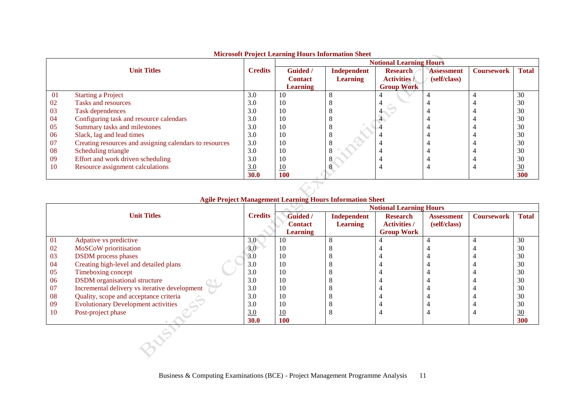|     |                                                         |                | microsoft I roject meaning mours micrimation sheet |                 | <b>Notional Learning Hours</b> |                   |                   |                |
|-----|---------------------------------------------------------|----------------|----------------------------------------------------|-----------------|--------------------------------|-------------------|-------------------|----------------|
|     | <b>Unit Titles</b>                                      | <b>Credits</b> | Guided /                                           | Independent     | <b>Research</b>                | <b>Assessment</b> | <b>Coursework</b> | <b>Total</b>   |
|     |                                                         |                | <b>Contact</b>                                     | <b>Learning</b> | <b>Activities /</b>            | (self/class)      |                   |                |
|     |                                                         |                | <b>Learning</b>                                    |                 | <b>Group Work</b>              |                   |                   |                |
| 01  | <b>Starting a Project</b>                               | 3.0            | 10                                                 | O               |                                |                   |                   | 30             |
| 02  | Tasks and resources                                     | 3.0            | 10                                                 |                 |                                |                   |                   | 30             |
| 03  | Task dependences                                        | 3.0            | 10                                                 |                 |                                |                   |                   | 30             |
| 04  | Configuring task and resource calendars                 | 3.0            | 10                                                 |                 |                                |                   |                   | 30             |
| 05  | Summary tasks and milestones                            | 3.0            | 10                                                 |                 |                                |                   |                   | 30             |
| 06  | Slack, lag and lead times                               | 3.0            | 10                                                 |                 |                                |                   |                   | 30             |
| 07  | Creating resources and assigning calendars to resources | 3.0            | 10                                                 |                 |                                |                   |                   | 30             |
| 08  | Scheduling triangle                                     | 3.0            | 10                                                 |                 |                                |                   |                   | 30             |
| 09  | Effort and work driven scheduling                       | 3.0            | 10                                                 | ∩               |                                |                   |                   | 30             |
| -10 | Resource assignment calculations                        | 3.0            | 10                                                 |                 | $\overline{\phantom{a}}$       |                   |                   | $\frac{30}{2}$ |
|     |                                                         | <b>30.0</b>    | 100                                                |                 |                                |                   |                   | 300            |

# **Microsoft Project Learning Hours Information Sheet**

# **Agile Project Management Learning Hours Information Sheet**

|           |                                               |                  | <b>Notional Learning Hours</b> |                 |                     |                   |                   |                |  |
|-----------|-----------------------------------------------|------------------|--------------------------------|-----------------|---------------------|-------------------|-------------------|----------------|--|
|           | <b>Unit Titles</b>                            | <b>Credits</b>   | Guided /                       | Independent     | <b>Research</b>     | <b>Assessment</b> | <b>Coursework</b> | <b>Total</b>   |  |
|           |                                               |                  | <b>Contact</b>                 | <b>Learning</b> | <b>Activities /</b> | (self/class)      |                   |                |  |
|           |                                               |                  | <b>Learning</b>                |                 | <b>Group Work</b>   |                   |                   |                |  |
| -01       | Adpative vs predictive                        | 3.0 <sub>1</sub> | 10                             | 8               |                     |                   |                   | 30             |  |
| 02        | MoSCoW prioritisation                         | 3.0              | 10                             |                 |                     |                   |                   | 30             |  |
| -03       | <b>DSDM</b> process phases                    | 3.0              | 10                             |                 |                     |                   |                   | 30             |  |
| -04       | Creating high-level and detailed plans        | 3.0              | 10                             |                 |                     |                   |                   | 30             |  |
| -05       | Timeboxing concept                            | 3.0              | 10                             |                 |                     |                   |                   | 30             |  |
| 06        | <b>DSDM</b> organisational structure          | 3.0              | 10                             |                 |                     |                   |                   | 30             |  |
| -07       | Incremental delivery vs iterative development | 3.0              | 10                             |                 |                     |                   |                   | 30             |  |
| -08       | Quality, scope and acceptance criteria        | 3.0              | 10                             |                 |                     |                   |                   | 30             |  |
| -09       | <b>Evolutionary Development activities</b>    | 3.0              | 10                             |                 |                     |                   |                   | 30             |  |
| <b>10</b> | Post-project phase                            | 3.0              | 10                             | O               |                     |                   |                   | $\frac{30}{5}$ |  |
|           |                                               | <b>30.0</b>      | <b>100</b>                     |                 |                     |                   |                   | 300            |  |

3NSV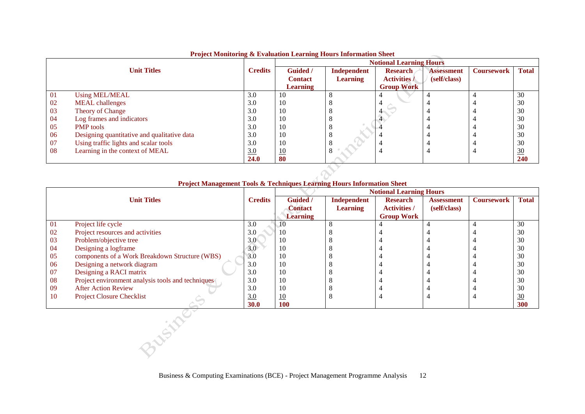|    |                                             | $\sim$         | $\sim$<br><b>Notional Learning Hours</b> |                 |                     |                   |                   |                 |
|----|---------------------------------------------|----------------|------------------------------------------|-----------------|---------------------|-------------------|-------------------|-----------------|
|    | <b>Unit Titles</b>                          | <b>Credits</b> | Guided /                                 | Independent     | <b>Research</b>     | <b>Assessment</b> | <b>Coursework</b> | <b>Total</b>    |
|    |                                             |                | <b>Contact</b>                           | <b>Learning</b> | <b>Activities /</b> | (self/class)      |                   |                 |
|    |                                             |                | <b>Learning</b>                          |                 | <b>Group Work</b>   |                   |                   |                 |
| 01 | <b>Using MEL/MEAL</b>                       | 3.0            | 10                                       | O               |                     |                   |                   | 30              |
| 02 | <b>MEAL</b> challenges                      | 3.0            | 10                                       |                 | $\overline{a}$      |                   |                   | 30              |
| 03 | Theory of Change                            | 3.0            | 10                                       |                 |                     |                   |                   | 30              |
| 04 | Log frames and indicators                   | 3.0            | 10                                       |                 |                     |                   |                   | 30              |
| 05 | <b>PMP</b> tools                            | 3.0            | 10                                       |                 |                     |                   |                   | 30              |
| 06 | Designing quantitative and qualitative data | 3.0            | 10                                       |                 |                     |                   |                   | 30              |
| 07 | Using traffic lights and scalar tools       | 3.0            | 10                                       |                 |                     |                   |                   | 30              |
| 08 | Learning in the context of MEAL             | 3.0            | <u>10</u>                                | 8               |                     |                   |                   | $\overline{30}$ |
|    |                                             | 24.0           | 80                                       |                 |                     |                   |                   | 240             |

# **Project Monitoring & Evaluation Learning Hours Information Sheet**

# **Project Management Tools & Techniques Learning Hours Information Sheet**

|        |                                                   |                  | <b>Notional Learning Hours</b> |                 |                     |                   |                   |              |  |
|--------|---------------------------------------------------|------------------|--------------------------------|-----------------|---------------------|-------------------|-------------------|--------------|--|
|        | <b>Unit Titles</b>                                | <b>Credits</b>   | Guided /                       | Independent     | <b>Research</b>     | <b>Assessment</b> | <b>Coursework</b> | <b>Total</b> |  |
|        |                                                   |                  | <b>Contact</b>                 | <b>Learning</b> | <b>Activities /</b> | (self/class)      |                   |              |  |
|        |                                                   |                  | <b>Learning</b>                |                 | <b>Group Work</b>   |                   |                   |              |  |
| 01     | Project life cycle                                | 3.0              | 10                             | 8               |                     |                   |                   | 30           |  |
| 02     | Project resources and activities                  | 3.0              | 10                             |                 |                     |                   |                   | 30           |  |
| 03     | Problem/objective tree                            | 3.0 <sup>°</sup> | 10                             |                 |                     |                   |                   | 30           |  |
| 04     | Designing a logframe                              | 3.0              | 10                             |                 |                     |                   |                   | 30           |  |
| 05     | components of a Work Breakdown Structure (WBS)    | 3.0              | 10                             |                 |                     |                   |                   | 30           |  |
| 06     | Designing a network diagram                       | 3.0              | 10                             |                 |                     |                   |                   | 30           |  |
| 07     | Designing a RACI matrix                           | 3.0              | 10                             |                 |                     |                   |                   | 30           |  |
| 08     | Project environment analysis tools and techniques | 3.0              | 10                             |                 |                     |                   |                   | 30           |  |
| 09     | <b>After Action Review</b>                        | 3.0              | 10                             |                 |                     |                   |                   | 30           |  |
| 10     | <b>Project Closure Checklist</b>                  | 3.0              | 10                             |                 | $\overline{4}$      |                   |                   | 30           |  |
|        |                                                   | 30.0             | 100                            |                 |                     |                   |                   | 300          |  |
| LUCIUS |                                                   |                  |                                |                 |                     |                   |                   |              |  |
|        |                                                   |                  |                                |                 |                     |                   |                   |              |  |